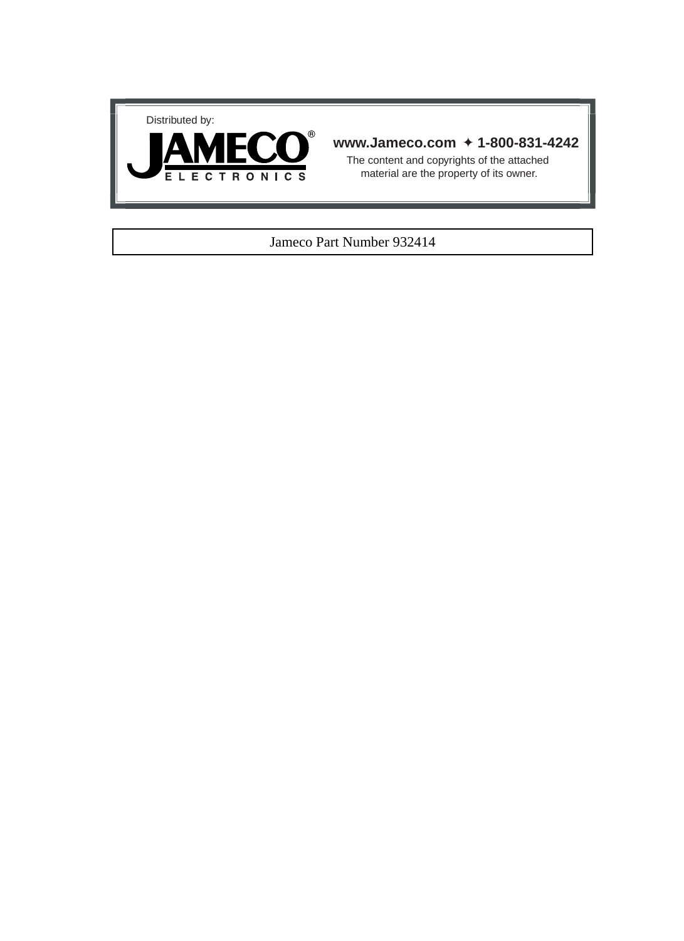



### **www.Jameco.com** ✦ **1-800-831-4242**

The content and copyrights of the attached material are the property of its owner.

### Jameco Part Number 932414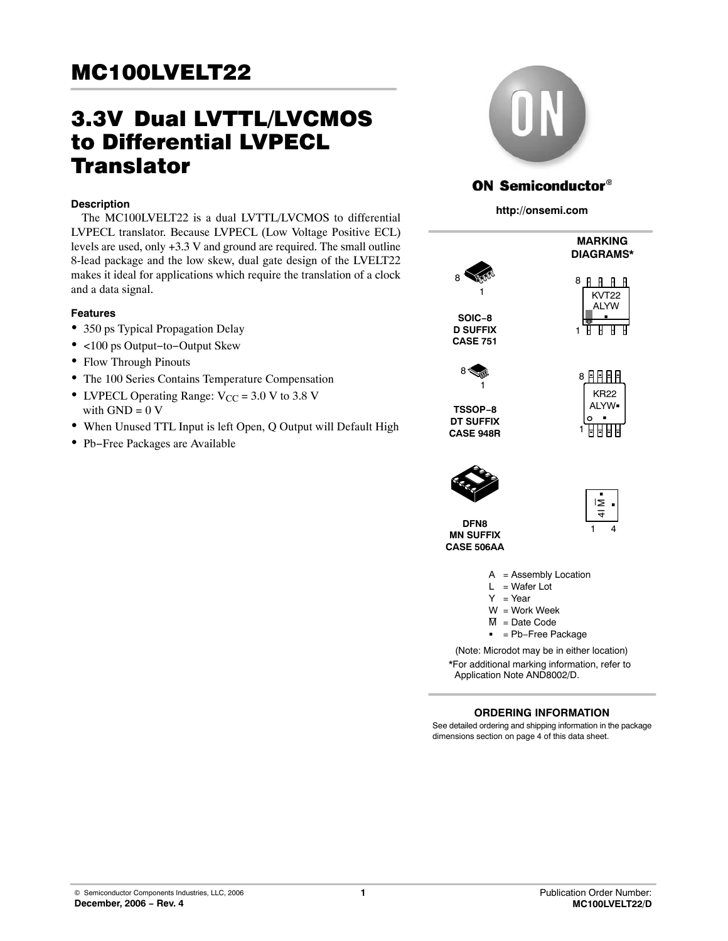# 3.3V-Dual LVTTL/LVCMOS to Differential LVPECL **Translator**

### **Description**

The MC100LVELT22 is a dual LVTTL/LVCMOS to differential LVPECL translator. Because LVPECL (Low Voltage Positive ECL) levels are used, only +3.3 V and ground are required. The small outline 8-lead package and the low skew, dual gate design of the LVELT22 makes it ideal for applications which require the translation of a clock and a data signal.

### **Features**

- 350 ps Typical Propagation Delay
- <100 ps Output−to−Output Skew
- Flow Through Pinouts
- The 100 Series Contains Temperature Compensation
- LVPECL Operating Range:  $V_{CC}$  = 3.0 V to 3.8 V with  $GND = 0$  V
- When Unused TTL Input is left Open, Q Output will Default High
- Pb−Free Packages are Available



# **ON Semiconductor®**

**http://onsemi.com**



\*For additional marking information, refer to Application Note AND8002/D.

### **ORDERING INFORMATION**

See detailed ordering and shipping information in the package dimensions section on page [4 of this data sheet.](#page-4-0)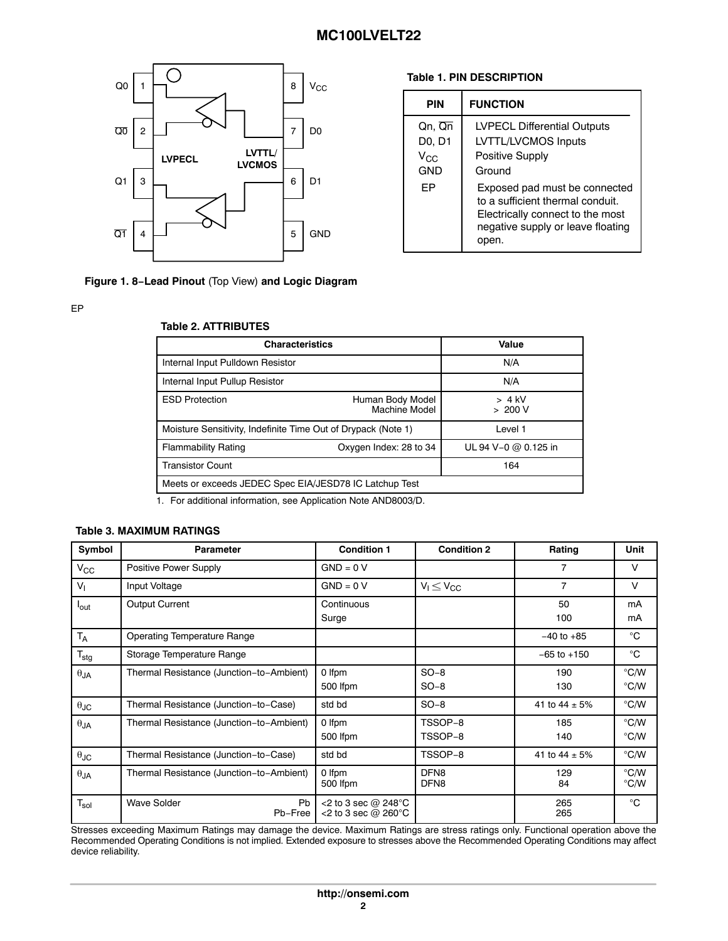

### **Table 1. PIN DESCRIPTION**

| PIN                                                      | <b>FUNCTION</b>                                                                                                                                     |
|----------------------------------------------------------|-----------------------------------------------------------------------------------------------------------------------------------------------------|
| Qn, Qn<br>D <sub>0</sub> , D <sub>1</sub><br>Vcc.<br>GND | <b>LVPECL Differential Outputs</b><br>LVTTL/LVCMOS Inputs<br>Positive Supply<br>Ground                                                              |
| FP                                                       | Exposed pad must be connected<br>to a sufficient thermal conduit.<br>Electrically connect to the most<br>negative supply or leave floating<br>open. |

**Figure 1. 8−Lead Pinout** (Top View) **and Logic Diagram**

**Table 2. ATTRIBUTES**

### EP

### **Characteristics Value** Internal Input Pulldown Resistor N/A Internal Input Pullup Resistor N/A ESD Protection **ESD** Protection Machine Model > 4 kV > 200 V Moisture Sensitivity, Indefinite Time Out of Drypack (Note 1) Level 1 Flammability Rating Oxygen Index: 28 to 34 UL 94 V−0 @ 0.125 in Transistor Count 164 Meets or exceeds JEDEC Spec EIA/JESD78 IC Latchup Test

1. For additional information, see Application Note AND8003/D.

### **Table 3. MAXIMUM RATINGS**

| Symbol               | <b>Parameter</b>                           | <b>Condition 1</b>                              | <b>Condition 2</b>                   | Rating            | Unit                           |
|----------------------|--------------------------------------------|-------------------------------------------------|--------------------------------------|-------------------|--------------------------------|
| $V_{\rm CC}$         | Positive Power Supply                      | $GND = 0 V$                                     |                                      | 7                 | $\vee$                         |
| $V_{1}$              | Input Voltage                              | $GND = 0 V$                                     | $V_1 \leq V_{CC}$                    | $\overline{7}$    | $\vee$                         |
| l <sub>out</sub>     | <b>Output Current</b>                      | Continuous<br>Surge                             |                                      | 50<br>100         | mA<br>mA                       |
| $T_A$                | <b>Operating Temperature Range</b>         |                                                 |                                      | $-40$ to $+85$    | °C                             |
| $T_{\text{stg}}$     | Storage Temperature Range                  |                                                 |                                      | $-65$ to $+150$   | $^{\circ}$ C                   |
| $\theta_{JA}$        | Thermal Resistance (Junction-to-Ambient)   | 0 Ifpm<br>500 Ifpm                              | $SO-8$<br>$SO-8$                     | 190<br>130        | $\degree$ C/W<br>$\degree$ C/W |
| $\theta_{\text{JC}}$ | Thermal Resistance (Junction-to-Case)      | std bd                                          | $SO-8$                               | 41 to $44 \pm 5%$ | $\degree$ C/W                  |
| $\theta_{JA}$        | Thermal Resistance (Junction-to-Ambient)   | 0 Ifpm<br>500 lfpm                              | TSSOP-8<br>TSSOP-8                   | 185<br>140        | $\degree$ C/W<br>$\degree$ C/W |
| $\theta$ JC          | Thermal Resistance (Junction-to-Case)      | std bd                                          | TSSOP-8                              | 41 to 44 $\pm$ 5% | $\degree$ C/W                  |
| $\theta_{JA}$        | Thermal Resistance (Junction-to-Ambient)   | 0 Ifpm<br>500 Ifpm                              | DFN <sub>8</sub><br>DFN <sub>8</sub> | 129<br>84         | $\degree$ C/W<br>°C/W          |
| $T_{sol}$            | <b>Wave Solder</b><br><b>Pb</b><br>Pb-Free | <2 to 3 sec @ 248°C<br><2 to 3 sec $@$ 260 $°C$ |                                      | 265<br>265        | $^{\circ}$ C                   |

Stresses exceeding Maximum Ratings may damage the device. Maximum Ratings are stress ratings only. Functional operation above the Recommended Operating Conditions is not implied. Extended exposure to stresses above the Recommended Operating Conditions may affect device reliability.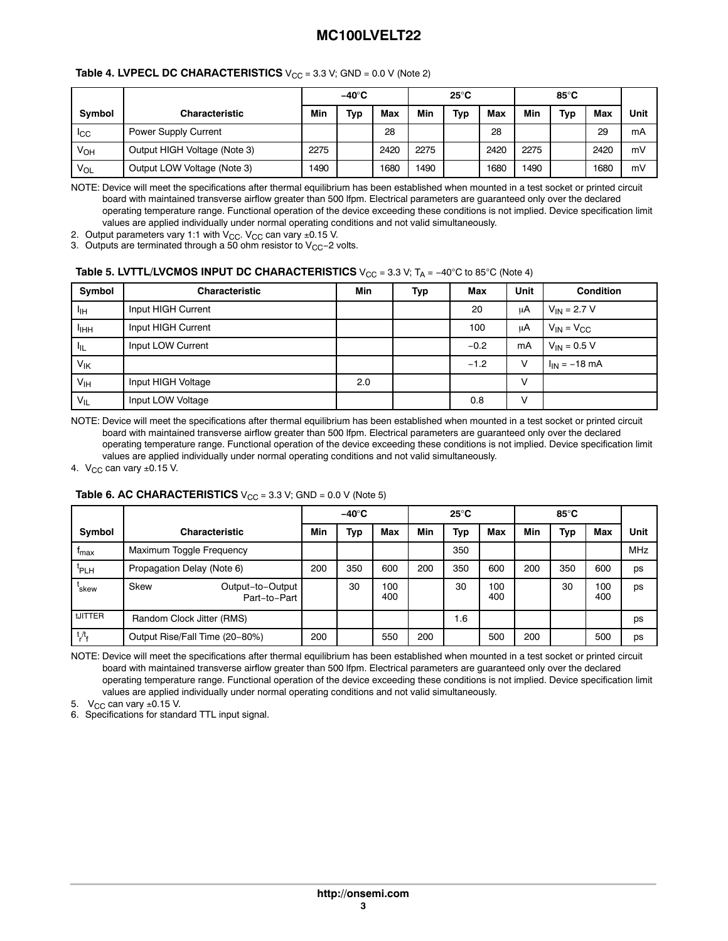| <b>Table 4. LVPECL DC CHARACTERISTICS</b> $V_{CC}$ = 3.3 V; GND = 0.0 V (Note 2) |  |
|----------------------------------------------------------------------------------|--|
|----------------------------------------------------------------------------------|--|

|                |                              | $-40^\circ$ C |     | $25^{\circ}$ C |      |     | 85°C |      |     |      |      |
|----------------|------------------------------|---------------|-----|----------------|------|-----|------|------|-----|------|------|
| Symbol         | <b>Characteristic</b>        | Min           | Тур | Max            | Min  | Typ | Max  | Min  | Typ | Max  | Unit |
| <sub>ICC</sub> | <b>Power Supply Current</b>  |               |     | 28             |      |     | 28   |      |     | 29   | mA   |
| Ѵон            | Output HIGH Voltage (Note 3) | 2275          |     | 2420           | 2275 |     | 2420 | 2275 |     | 2420 | mV   |
| VOL            | Output LOW Voltage (Note 3)  | 1490          |     | 1680           | 1490 |     | 1680 | 1490 |     | 1680 | mV   |

NOTE: Device will meet the specifications after thermal equilibrium has been established when mounted in a test socket or printed circuit board with maintained transverse airflow greater than 500 lfpm. Electrical parameters are guaranteed only over the declared operating temperature range. Functional operation of the device exceeding these conditions is not implied. Device specification limit values are applied individually under normal operating conditions and not valid simultaneously.

2. Output parameters vary 1:1 with V<sub>CC</sub>. V<sub>CC</sub> can vary ±0.15 V.

3.  $\,$ Outputs are terminated through a 50 ohm resistor to V $_{\rm CC}$ –2 volts.

#### **Table 5. LVTTL/LVCMOS INPUT DC CHARACTERISTICS** V<sub>CC</sub> = 3.3 V; T<sub>A</sub> = −40°C to 85°C (Note 4)

| Symbol           | <b>Characteristic</b> | Min | Typ | Max    | <b>Unit</b> | <b>Condition</b>  |
|------------------|-----------------------|-----|-----|--------|-------------|-------------------|
| Чн               | Input HIGH Current    |     |     | 20     | μA          | $V_{IN}$ = 2.7 V  |
| <sup>I</sup> IHH | Input HIGH Current    |     |     | 100    | μA          | $V_{IN} = V_{CC}$ |
| ாட               | Input LOW Current     |     |     | $-0.2$ | mA          | $V_{IN} = 0.5 V$  |
| V <sub>IK</sub>  |                       |     |     | $-1.2$ | v           | $I_{IN} = -18$ mA |
| V <sub>IH</sub>  | Input HIGH Voltage    | 2.0 |     |        | V           |                   |
| $V_{IL}$         | Input LOW Voltage     |     |     | 0.8    | V           |                   |

NOTE: Device will meet the specifications after thermal equilibrium has been established when mounted in a test socket or printed circuit board with maintained transverse airflow greater than 500 lfpm. Electrical parameters are guaranteed only over the declared operating temperature range. Functional operation of the device exceeding these conditions is not implied. Device specification limit values are applied individually under normal operating conditions and not valid simultaneously.

4.  $V_{CC}$  can vary  $\pm 0.15$  V.

### **Table 6. AC CHARACTERISTICS**  $V_{CC} = 3.3$  V; GND = 0.0 V (Note 5)

|                  |                            |                                  | $-40^\circ C$ |     | $25^{\circ}$ C |     | 85 $\mathrm{^{\circ}C}$ |            |     |     |            |      |
|------------------|----------------------------|----------------------------------|---------------|-----|----------------|-----|-------------------------|------------|-----|-----|------------|------|
| Symbol           |                            | <b>Characteristic</b>            | Min           | Typ | <b>Max</b>     | Min | Typ                     | <b>Max</b> | Min | Typ | <b>Max</b> | Unit |
| T <sub>max</sub> | Maximum Toggle Frequency   |                                  |               |     |                |     | 350                     |            |     |     |            | MHz  |
| 'PLH             | Propagation Delay (Note 6) |                                  | 200           | 350 | 600            | 200 | 350                     | 600        | 200 | 350 | 600        | ps   |
| `skew            | <b>Skew</b>                | Output-to-Output<br>Part-to-Part |               | 30  | 100<br>400     |     | 30                      | 100<br>400 |     | 30  | 100<br>400 | ps   |
| tJITTER          | Random Clock Jitter (RMS)  |                                  |               |     |                |     | 1.6                     |            |     |     |            | ps   |
| $t/t_f$          |                            | Output Rise/Fall Time (20-80%)   | 200           |     | 550            | 200 |                         | 500        | 200 |     | 500        | ps   |

NOTE: Device will meet the specifications after thermal equilibrium has been established when mounted in a test socket or printed circuit board with maintained transverse airflow greater than 500 lfpm. Electrical parameters are guaranteed only over the declared operating temperature range. Functional operation of the device exceeding these conditions is not implied. Device specification limit values are applied individually under normal operating conditions and not valid simultaneously.

5.  $V_{CC}$  can vary  $\pm 0.15$  V.

6. Specifications for standard TTL input signal.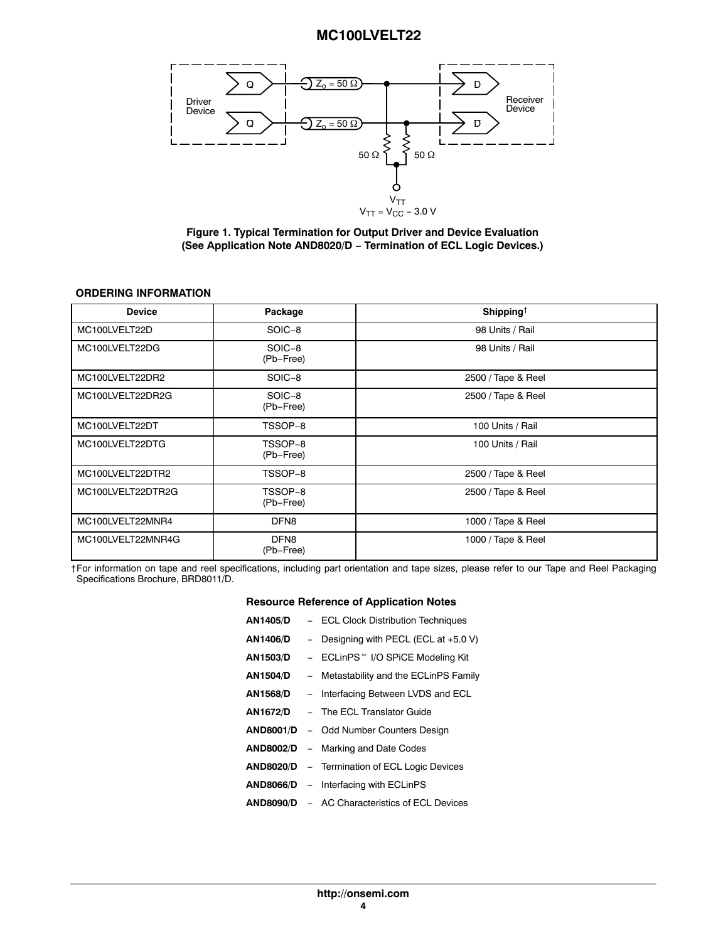<span id="page-4-0"></span>

**Figure 1. Typical Termination for Output Driver and Device Evaluation (See Application Note AND8020/D − Termination of ECL Logic Devices.)**

### **ORDERING INFORMATION**

| <b>Device</b>     | Package                       | Shipping <sup>†</sup> |
|-------------------|-------------------------------|-----------------------|
| MC100LVELT22D     | SOIC-8                        | 98 Units / Rail       |
| MC100LVELT22DG    | SOIC-8<br>(Pb-Free)           | 98 Units / Rail       |
| MC100LVELT22DR2   | SOIC-8                        | 2500 / Tape & Reel    |
| MC100LVELT22DR2G  | SOIC-8<br>(Pb-Free)           | 2500 / Tape & Reel    |
| MC100LVELT22DT    | TSSOP-8                       | 100 Units / Rail      |
| MC100LVELT22DTG   | TSSOP-8<br>(Pb-Free)          | 100 Units / Rail      |
| MC100LVELT22DTR2  | TSSOP-8                       | 2500 / Tape & Reel    |
| MC100LVELT22DTR2G | TSSOP-8<br>(Pb-Free)          | 2500 / Tape & Reel    |
| MC100LVELT22MNR4  | DFN <sub>8</sub>              | 1000 / Tape & Reel    |
| MC100LVELT22MNR4G | DFN <sub>8</sub><br>(Pb-Free) | 1000 / Tape & Reel    |

†For information on tape and reel specifications, including part orientation and tape sizes, please refer to our Tape and Reel Packaging Specifications Brochure, BRD8011/D.

#### **Resource Reference of Application Notes**

| - ECL Clock Distribution Techniques                  |
|------------------------------------------------------|
| - Designing with PECL (ECL at $+5.0$ V)              |
| - ECLinPS™ I/O SPiCE Modeling Kit                    |
| - Metastability and the ECLinPS Family               |
| - Interfacing Between LVDS and ECL                   |
| <b>AN1672/D</b> - The ECL Translator Guide           |
| <b>AND8001/D</b> - Odd Number Counters Design        |
| <b>AND8002/D</b> - Marking and Date Codes            |
| <b>AND8020/D</b> – Termination of ECL Logic Devices  |
| <b>AND8066/D</b> – Interfacing with ECLinPS          |
| <b>AND8090/D</b> - AC Characteristics of ECL Devices |
|                                                      |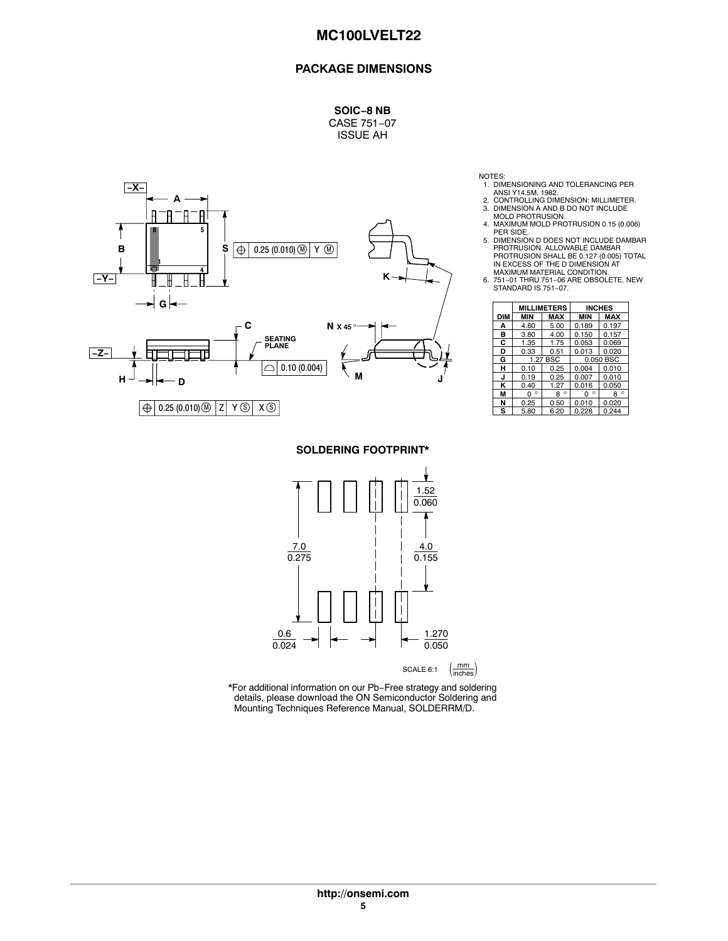### **PACKAGE DIMENSIONS**

**SOIC−8 NB** CASE 751−07 ISSUE AH



**SOLDERING FOOTPRINT\***



\*For additional information on our Pb−Free strategy and soldering details, please download the ON Semiconductor Soldering and Mounting Techniques Reference Manual, SOLDERRM/D.

- 1. DIMENSIONING AND TOLERANCING PER ANSI Y14.5M, 1982.
- 
- 2. CONTROLLING DIMENSION: MILLIMETER. 3. DIMENSION A AND B DO NOT INCLUDE MOLD PROTRUSION. 4. MAXIMUM MOLD PROTRUSION 0.15 (0.006)
- 
- PER SIDE. 5. DIMENSION D DOES NOT INCLUDE DAMBAR PROTRUSION. ALLOWABLE DAMBAR PROTRUSION SHALL BE 0.127 (0.005) TOTAL IN EXCESS OF THE D DIMENSION AT
- MAXIMUM MATERIAL CONDITION. 6. 751−01 THRU 751−06 ARE OBSOLETE. NEW STANDARD IS 751−07.

|     |              | <b>MILLIMETERS</b> |              | <b>INCHES</b> |  |
|-----|--------------|--------------------|--------------|---------------|--|
| DIM | <b>MIN</b>   | <b>MAX</b>         | <b>MIN</b>   | <b>MAX</b>    |  |
| А   | 4.80         | 5.00               | 0.189        | 0.197         |  |
| в   | 3.80         | 4.00               | 0.150        | 0.157         |  |
| C   | 1.35         | 1.75               | 0.053        | 0.069         |  |
| D   | 0.33         | 0.51               | 0.013        | 0.020         |  |
| G   |              | 1.27 BSC           | 0.050 BSC    |               |  |
| н   | 0.10         | 0.25               | 0.004        | 0.010         |  |
| J   | 0.19         | 0.25               | 0.007        | 0.010         |  |
| κ   | 0.40         | 1.27               | 0.016        | 0.050         |  |
| M   | $\circ$<br>n | $\circ$<br>R       | $\circ$<br>ŋ | $\circ$<br>R  |  |
| N   | 0.25         | 0.50               | 0.010        | 0.020         |  |
| s   | 5.80         | 6.20               | 0.228        | 0.244         |  |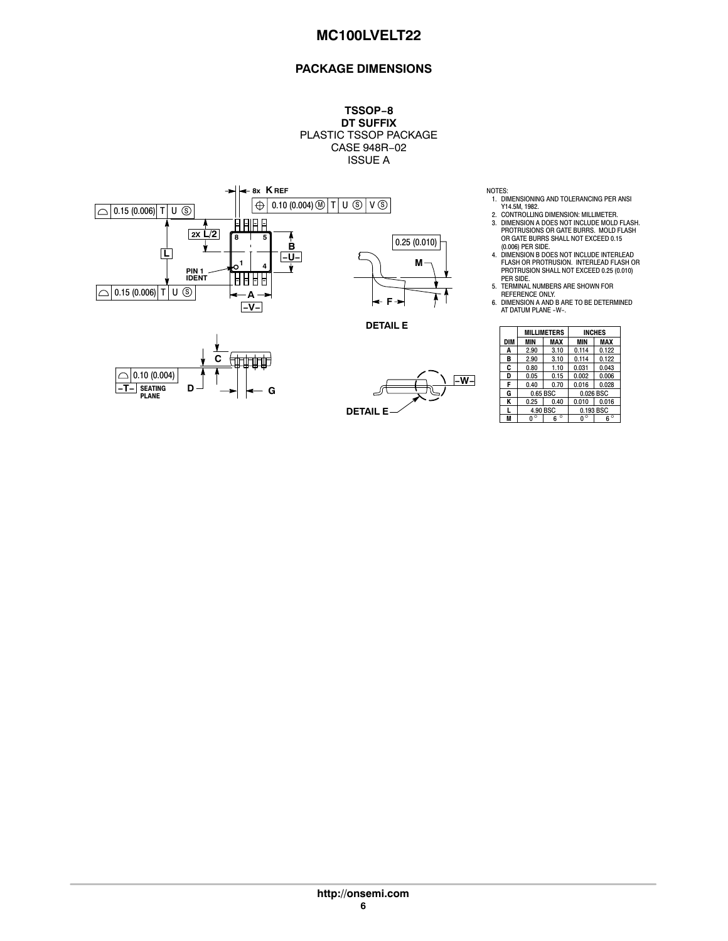### **PACKAGE DIMENSIONS**

**TSSOP−8 DT SUFFIX** PLASTIC TSSOP PACKAGE CASE 948R−02 ISSUE A



- NOTES: 1. DIMENSIONING AND TOLERANCING PER ANSI Y14.5M, 1982.<br>2. CONTROLLING DIMENSION: MILLIMETER.
- 2. CONTROLLING DIMENSION: MILLIMETER.<br>3. DIMENSION A DOES NOT INCLUDE MOLD FLASH.<br>PROTRUSIONS OR GATE BURRS. MOLD FLASH.<br>OR GATE BURRS SHALL NOT EXCEED 0.15
- (0.006) PER SIDE. 4. DIMENSION B DOES NOT INCLUDE INTERLEAD FLASH OR PROTRUSION. INTERLEAD FLASH OR PROTRUSION SHALL NOT EXCEED 0.25 (0.010)
- PER SIDE. 5. TERMINAL NUMBERS ARE SHOWN FOR
- REFERENCE ONLY. 6. DIMENSION A AND B ARE TO BE DETERMINED AT DATUM PLANE −W−.

|     |          | <b>MILLIMETERS</b> |       | <b>INCHES</b> |
|-----|----------|--------------------|-------|---------------|
| DIM | MIN      | MAX                | MIN   | <b>MAX</b>    |
| A   | 2.90     | 3.10               | 0.114 | 0.122         |
| в   | 2.90     | 3.10               | 0.114 | 0.122         |
| C   | 0.80     | 1.10               | 0.031 | 0.043         |
| D   | 0.05     | 0.15               | 0.002 | 0.006         |
| F   | 0.40     | 0.70               | 0.016 | 0.028         |
| G   | 0.65 BSC |                    |       | 0.026 BSC     |
| ĸ   | 0.25     | 0.40               | 0.010 | 0.016         |
|     |          | 4.90 BSC           |       | 0.193 BSC     |
| M   |          | $\circ$<br>6       |       | $\circ$<br>հ  |